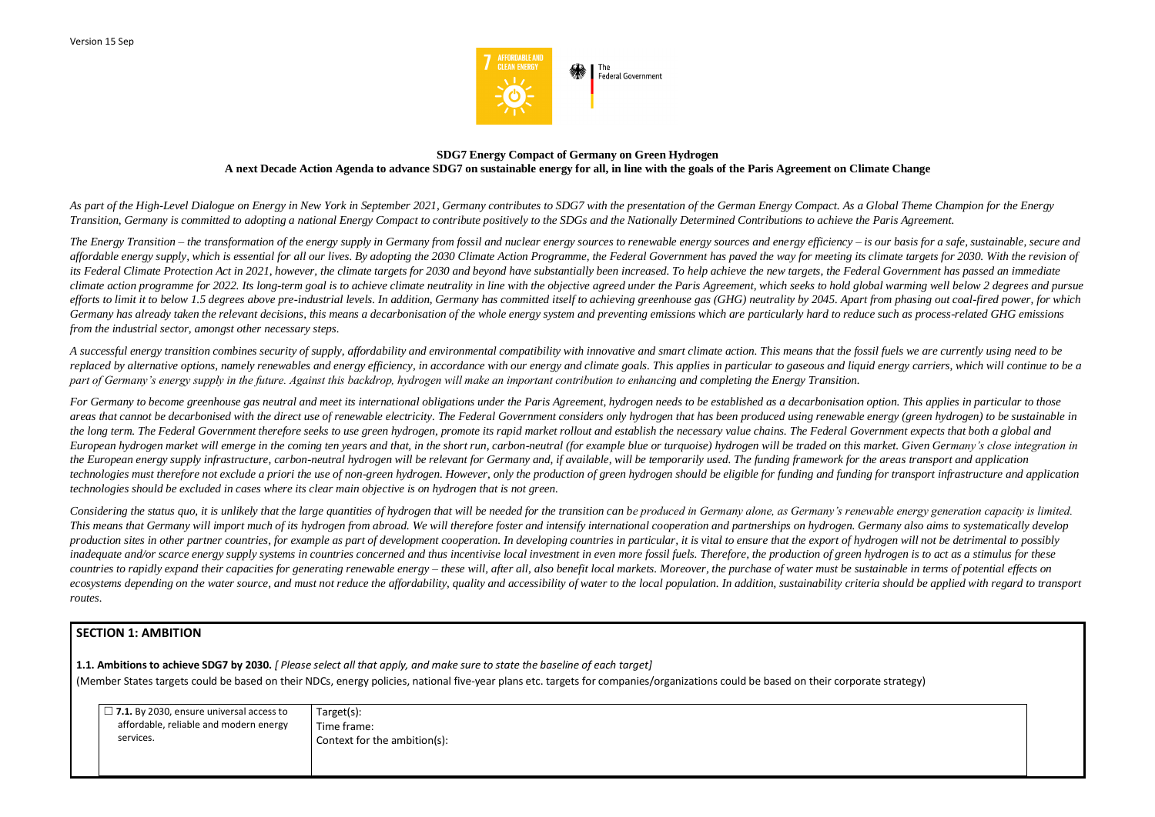

### **SDG7 Energy Compact of Germany on Green Hydrogen A next Decade Action Agenda to advance SDG7 on sustainable energy for all, in line with the goals of the Paris Agreement on Climate Change**

*As part of the High-Level Dialogue on Energy in New York in September 2021, Germany contributes to SDG7 with the presentation of the German Energy Compact. As a Global Theme Champion for the Energy Transition, Germany is committed to adopting a national Energy Compact to contribute positively to the SDGs and the Nationally Determined Contributions to achieve the Paris Agreement.*

The Energy Transition – the transformation of the energy supply in Germany from fossil and nuclear energy sources to renewable energy sources and energy efficiency – is our basis for a safe, sustainable, secure and affordable energy supply, which is essential for all our lives. By adopting the 2030 Climate Action Programme, the Federal Government has paved the way for meeting its climate targets for 2030. With the revision of its Federal Climate Protection Act in 2021, however, the climate targets for 2030 and beyond have substantially been increased. To help achieve the new targets, the Federal Government has passed an immediate *climate action programme for 2022. Its long-term goal is to achieve climate neutrality in line with the objective agreed under the Paris Agreement, which seeks to hold global warming well below 2 degrees and pursue efforts to limit it to below 1.5 degrees above pre-industrial levels. In addition, Germany has committed itself to achieving greenhouse gas (GHG) neutrality by 2045. Apart from phasing out coal-fired power, for which Germany has already taken the relevant decisions, this means a decarbonisation of the whole energy system and preventing emissions which are particularly hard to reduce such as process-related GHG emissions from the industrial sector, amongst other necessary steps.*

A successful energy transition combines security of supply, affordability and environmental compatibility with innovative and smart climate action. This means that the fossil fuels we are currently using need to be replaced by alternative options, namely renewables and energy efficiency, in accordance with our energy and climate goals. This applies in particular to gaseous and liquid energy carriers, which will continue to be a *part of Germany's energy supply in the future. Against this backdrop, hydrogen will make an important contribution to enhancing and completing the Energy Transition.* 

*Considering the status quo, it is unlikely that the large quantities of hydrogen that will be needed for the transition can be produced in Germany alone, as Germany's renewable energy generation capacity is limited. This means that Germany will import much of its hydrogen from abroad. We will therefore foster and intensify international cooperation and partnerships on hydrogen. Germany also aims to systematically develop*  production sites in other partner countries, for example as part of development cooperation. In developing countries in particular, it is vital to ensure that the export of hydrogen will not be detrimental to possibly inadequate and/or scarce energy supply systems in countries concerned and thus incentivise local investment in even more fossil fuels. Therefore, the production of green hydrogen is to act as a stimulus for these countries to rapidly expand their capacities for generating renewable energy – these will, after all, also benefit local markets. Moreover, the purchase of water must be sustainable in terms of potential effects on ecosystems depending on the water source, and must not reduce the affordability, quality and accessibility of water to the local population. In addition, sustainability criteria should be applied with regard to transport *routes.*

*For Germany to become greenhouse gas neutral and meet its international obligations under the Paris Agreement, hydrogen needs to be established as a decarbonisation option. This applies in particular to those*  areas that cannot be decarbonised with the direct use of renewable electricity. The Federal Government considers only hydrogen that has been produced using renewable energy (green hydrogen) to be sustainable in *the long term. The Federal Government therefore seeks to use green hydrogen, promote its rapid market rollout and establish the necessary value chains. The Federal Government expects that both a global and European hydrogen market will emerge in the coming ten years and that, in the short run, carbon-neutral (for example blue or turquoise) hydrogen will be traded on this market. Given Germany's close integration in the European energy supply infrastructure, carbon-neutral hydrogen will be relevant for Germany and, if available, will be temporarily used. The funding framework for the areas transport and application technologies must therefore not exclude a priori the use of non-green hydrogen. However, only the production of green hydrogen should be eligible for funding and funding for transport infrastructure and application technologies should be excluded in cases where its clear main objective is on hydrogen that is not green.*

## **SECTION 1: AMBITION**

**1.1. Ambitions to achieve SDG7 by 2030.** *[ Please select all that apply, and make sure to state the baseline of each target]*  (Member States targets could be based on their NDCs, energy policies, national five-year plans etc. targets for companies/organizations could be based on their corporate strategy)

| $\Box$ 7.1. By 2030, ensure universal access to | Target(s):                   |
|-------------------------------------------------|------------------------------|
| affordable, reliable and modern energy          | Time frame:                  |
| services.                                       | Context for the ambition(s): |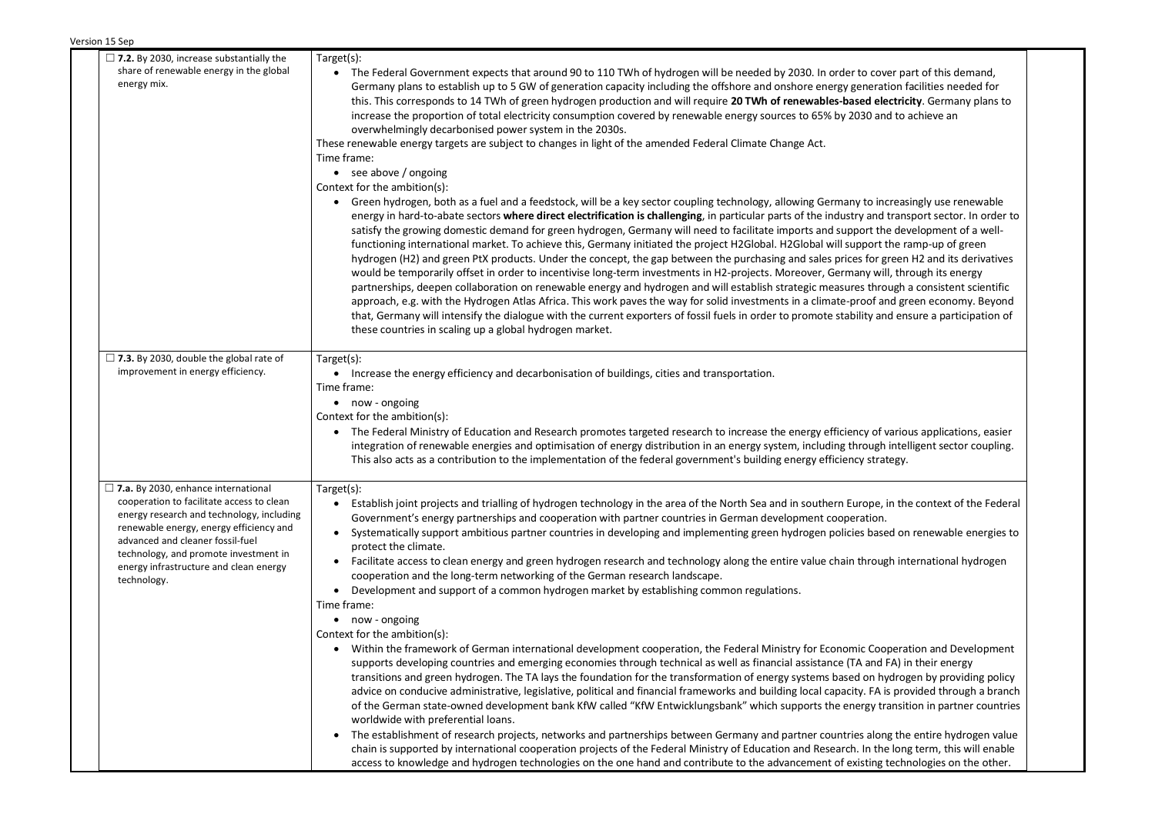| $\Box$ 7.2. By 2030, increase substantially the                                        | Target(s):                                                                                                                                                                                                                                                                                                                                                                                                                            |
|----------------------------------------------------------------------------------------|---------------------------------------------------------------------------------------------------------------------------------------------------------------------------------------------------------------------------------------------------------------------------------------------------------------------------------------------------------------------------------------------------------------------------------------|
| share of renewable energy in the global                                                | • The Federal Government expects that around 90 to 110 TWh of hydrogen will be needed by 2030. In order to cover part of this demand,                                                                                                                                                                                                                                                                                                 |
| energy mix.                                                                            | Germany plans to establish up to 5 GW of generation capacity including the offshore and onshore energy generation facilities needed for                                                                                                                                                                                                                                                                                               |
|                                                                                        | this. This corresponds to 14 TWh of green hydrogen production and will require 20 TWh of renewables-based electricity. Germany plans to                                                                                                                                                                                                                                                                                               |
|                                                                                        | increase the proportion of total electricity consumption covered by renewable energy sources to 65% by 2030 and to achieve an                                                                                                                                                                                                                                                                                                         |
|                                                                                        | overwhelmingly decarbonised power system in the 2030s.                                                                                                                                                                                                                                                                                                                                                                                |
|                                                                                        | These renewable energy targets are subject to changes in light of the amended Federal Climate Change Act.                                                                                                                                                                                                                                                                                                                             |
|                                                                                        | Time frame:                                                                                                                                                                                                                                                                                                                                                                                                                           |
|                                                                                        | $\bullet$ see above / ongoing                                                                                                                                                                                                                                                                                                                                                                                                         |
|                                                                                        | Context for the ambition(s):<br>• Green hydrogen, both as a fuel and a feedstock, will be a key sector coupling technology, allowing Germany to increasingly use renewable                                                                                                                                                                                                                                                            |
|                                                                                        | energy in hard-to-abate sectors where direct electrification is challenging, in particular parts of the industry and transport sector. In order to<br>satisfy the growing domestic demand for green hydrogen, Germany will need to facilitate imports and support the development of a well-<br>functioning international market. To achieve this, Germany initiated the project H2Global. H2Global will support the ramp-up of green |
|                                                                                        | hydrogen (H2) and green PtX products. Under the concept, the gap between the purchasing and sales prices for green H2 and its derivatives                                                                                                                                                                                                                                                                                             |
|                                                                                        | would be temporarily offset in order to incentivise long-term investments in H2-projects. Moreover, Germany will, through its energy<br>partnerships, deepen collaboration on renewable energy and hydrogen and will establish strategic measures through a consistent scientific                                                                                                                                                     |
|                                                                                        | approach, e.g. with the Hydrogen Atlas Africa. This work paves the way for solid investments in a climate-proof and green economy. Beyond                                                                                                                                                                                                                                                                                             |
|                                                                                        | that, Germany will intensify the dialogue with the current exporters of fossil fuels in order to promote stability and ensure a participation of                                                                                                                                                                                                                                                                                      |
|                                                                                        | these countries in scaling up a global hydrogen market.                                                                                                                                                                                                                                                                                                                                                                               |
|                                                                                        |                                                                                                                                                                                                                                                                                                                                                                                                                                       |
| $\Box$ 7.3. By 2030, double the global rate of                                         | Target(s):                                                                                                                                                                                                                                                                                                                                                                                                                            |
| improvement in energy efficiency.                                                      | • Increase the energy efficiency and decarbonisation of buildings, cities and transportation.                                                                                                                                                                                                                                                                                                                                         |
|                                                                                        | Time frame:                                                                                                                                                                                                                                                                                                                                                                                                                           |
|                                                                                        | • now - ongoing                                                                                                                                                                                                                                                                                                                                                                                                                       |
|                                                                                        | Context for the ambition(s):                                                                                                                                                                                                                                                                                                                                                                                                          |
|                                                                                        | • The Federal Ministry of Education and Research promotes targeted research to increase the energy efficiency of various applications, easier<br>integration of renewable energies and optimisation of energy distribution in an energy system, including through intelligent sector coupling.<br>This also acts as a contribution to the implementation of the federal government's building energy efficiency strategy.             |
| $\Box$ 7.a. By 2030, enhance international                                             | Target(s):                                                                                                                                                                                                                                                                                                                                                                                                                            |
| cooperation to facilitate access to clean<br>energy research and technology, including | Establish joint projects and trialling of hydrogen technology in the area of the North Sea and in southern Europe, in the context of the Federal<br>Government's energy partnerships and cooperation with partner countries in German development cooperation.                                                                                                                                                                        |
| renewable energy, energy efficiency and<br>advanced and cleaner fossil-fuel            | Systematically support ambitious partner countries in developing and implementing green hydrogen policies based on renewable energies to                                                                                                                                                                                                                                                                                              |
| technology, and promote investment in                                                  | protect the climate.<br>Facilitate access to clean energy and green hydrogen research and technology along the entire value chain through international hydrogen                                                                                                                                                                                                                                                                      |
| energy infrastructure and clean energy                                                 | $\bullet$<br>cooperation and the long-term networking of the German research landscape.                                                                                                                                                                                                                                                                                                                                               |
| technology.                                                                            | Development and support of a common hydrogen market by establishing common regulations.                                                                                                                                                                                                                                                                                                                                               |
|                                                                                        | Time frame:                                                                                                                                                                                                                                                                                                                                                                                                                           |
|                                                                                        | • now - ongoing                                                                                                                                                                                                                                                                                                                                                                                                                       |
|                                                                                        | Context for the ambition(s):                                                                                                                                                                                                                                                                                                                                                                                                          |
|                                                                                        | Within the framework of German international development cooperation, the Federal Ministry for Economic Cooperation and Development                                                                                                                                                                                                                                                                                                   |
|                                                                                        | supports developing countries and emerging economies through technical as well as financial assistance (TA and FA) in their energy                                                                                                                                                                                                                                                                                                    |
|                                                                                        | transitions and green hydrogen. The TA lays the foundation for the transformation of energy systems based on hydrogen by providing policy                                                                                                                                                                                                                                                                                             |
|                                                                                        | advice on conducive administrative, legislative, political and financial frameworks and building local capacity. FA is provided through a branch                                                                                                                                                                                                                                                                                      |
|                                                                                        | of the German state-owned development bank KfW called "KfW Entwicklungsbank" which supports the energy transition in partner countries                                                                                                                                                                                                                                                                                                |
|                                                                                        | worldwide with preferential loans.                                                                                                                                                                                                                                                                                                                                                                                                    |
|                                                                                        | The establishment of research projects, networks and partnerships between Germany and partner countries along the entire hydrogen value<br>chain is supported by international cooperation projects of the Federal Ministry of Education and Research. In the long term, this will enable                                                                                                                                             |
|                                                                                        | access to knowledge and hydrogen technologies on the one hand and contribute to the advancement of existing technologies on the other.                                                                                                                                                                                                                                                                                                |
|                                                                                        |                                                                                                                                                                                                                                                                                                                                                                                                                                       |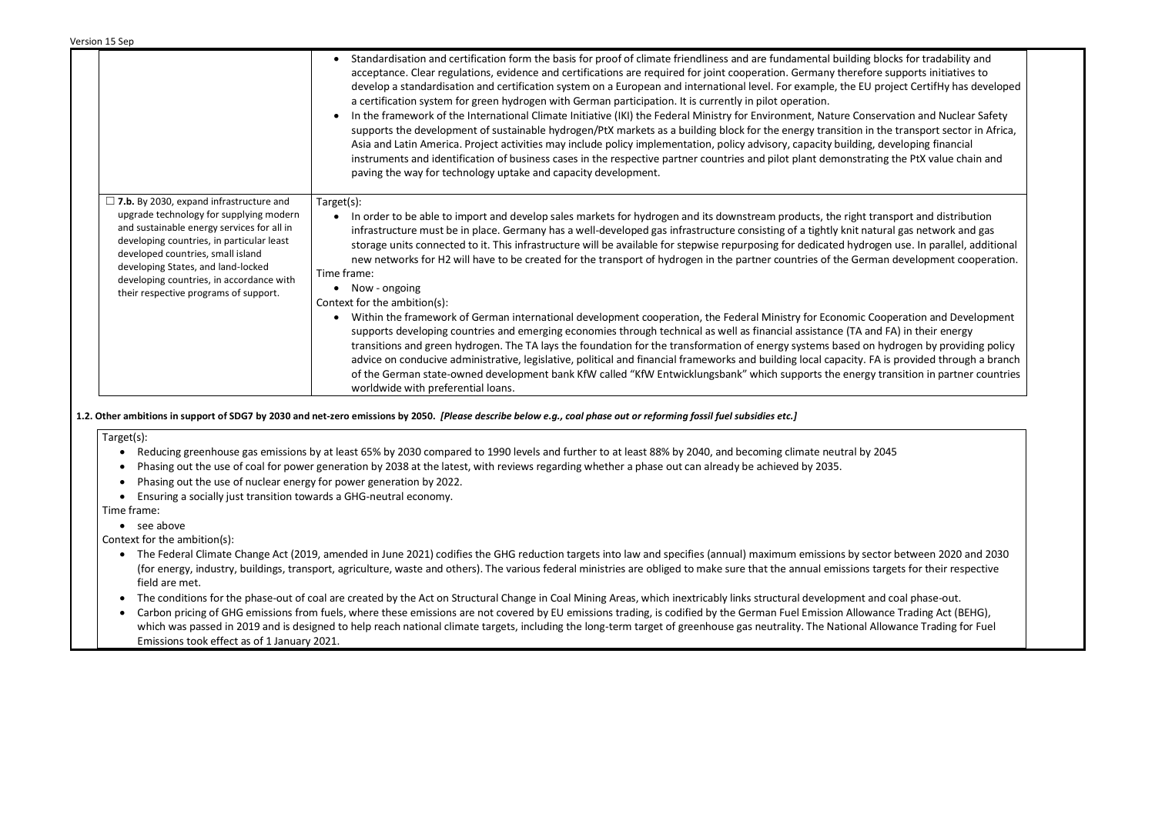|                                                                                                                                                                                                                                                                                                                                                      | Standardisation and certification form the basis for proof of climate friendliness and are fundamental building blocks for tradability and<br>acceptance. Clear regulations, evidence and certifications are required for joint cooperation. Germany therefore supports initiatives to<br>develop a standardisation and certification system on a European and international level. For example, the EU project CertifHy has developed<br>a certification system for green hydrogen with German participation. It is currently in pilot operation.<br>In the framework of the International Climate Initiative (IKI) the Federal Ministry for Environment, Nature Conservation and Nuclear Safety<br>supports the development of sustainable hydrogen/PtX markets as a building block for the energy transition in the transport sector in Africa,<br>Asia and Latin America. Project activities may include policy implementation, policy advisory, capacity building, developing financial<br>instruments and identification of business cases in the respective partner countries and pilot plant demonstrating the PtX value chain and<br>paving the way for technology uptake and capacity development. |
|------------------------------------------------------------------------------------------------------------------------------------------------------------------------------------------------------------------------------------------------------------------------------------------------------------------------------------------------------|--------------------------------------------------------------------------------------------------------------------------------------------------------------------------------------------------------------------------------------------------------------------------------------------------------------------------------------------------------------------------------------------------------------------------------------------------------------------------------------------------------------------------------------------------------------------------------------------------------------------------------------------------------------------------------------------------------------------------------------------------------------------------------------------------------------------------------------------------------------------------------------------------------------------------------------------------------------------------------------------------------------------------------------------------------------------------------------------------------------------------------------------------------------------------------------------------------------|
| $\Box$ 7.b. By 2030, expand infrastructure and<br>upgrade technology for supplying modern<br>and sustainable energy services for all in<br>developing countries, in particular least<br>developed countries, small island<br>developing States, and land-locked<br>developing countries, in accordance with<br>their respective programs of support. | Target(s):<br>In order to be able to import and develop sales markets for hydrogen and its downstream products, the right transport and distribution<br>infrastructure must be in place. Germany has a well-developed gas infrastructure consisting of a tightly knit natural gas network and gas<br>storage units connected to it. This infrastructure will be available for stepwise repurposing for dedicated hydrogen use. In parallel, additional<br>new networks for H2 will have to be created for the transport of hydrogen in the partner countries of the German development cooperation.<br>Time frame:<br>Now - ongoing<br>Context for the ambition(s):<br>Within the framework of German international development cooperation, the Federal Ministry for Economic Cooperation and Development<br>supports developing countries and emerging economies through technical as well as financial assistance (TA and FA) in their energy                                                                                                                                                                                                                                                             |
|                                                                                                                                                                                                                                                                                                                                                      | transitions and green hydrogen. The TA lays the foundation for the transformation of energy systems based on hydrogen by providing policy<br>advice on conducive administrative, legislative, political and financial frameworks and building local capacity. FA is provided through a branch<br>of the German state-owned development bank KfW called "KfW Entwicklungsbank" which supports the energy transition in partner countries<br>worldwide with preferential loans.                                                                                                                                                                                                                                                                                                                                                                                                                                                                                                                                                                                                                                                                                                                                |

- The Federal Climate Change Act (2019, amended in June 2021) codifies the GHG reduction targets into law and specifies (annual) maximum emissions by see (for energy, industry, buildings, transport, agriculture, waste and others). The various federal ministries are obliged to make sure that the annual emissions field are met.
- The conditions for the phase-out of coal are created by the Act on Structural Change in Coal Mining Areas, which inextricably links structural development a
- Carbon pricing of GHG emissions from fuels, where these emissions are not covered by EU emissions trading, is codified by the German Fuel Emission Allowance Trading Act (Allowance Trading Act (Allowance Trading Act (BEH) which was passed in 2019 and is designed to help reach national climate targets, including the long-term target of greenhouse gas neutrality. The National A Emissions took effect as of 1 January 2021.

| blocks for tradability and<br>re supports initiatives to<br>project CertifHy has developed                                                                     |  |
|----------------------------------------------------------------------------------------------------------------------------------------------------------------|--|
| servation and Nuclear Safety<br>the transport sector in Africa,<br>, developing financial<br>ting the PtX value chain and                                      |  |
| ransport and distribution<br>tural gas network and gas<br>gen use. In parallel, additional<br>nan development cooperation.                                     |  |
| Cooperation and Development<br>nd FA) in their energy<br>h hydrogen by providing policy<br>A is provided through a branch<br>y transition in partner countries |  |
| 2045                                                                                                                                                           |  |
|                                                                                                                                                                |  |
| ctor between 2020 and 2030<br>targets for their respective                                                                                                     |  |
| nd coal phase-out.<br>ance Trading Act (BEHG),<br><b>Allowance Trading for Fuel</b>                                                                            |  |

**1.2. Other ambitions in support of SDG7 by 2030 and net-zero emissions by 2050.** *[Please describe below e.g., coal phase out or reforming fossil fuel subsidies etc.]*

Target(s):

- Reducing greenhouse gas emissions by at least 65% by 2030 compared to 1990 levels and further to at least 88% by 2040, and becoming climate neutral by 2045
- Phasing out the use of coal for power generation by 2038 at the latest, with reviews regarding whether a phase out can already be achieved by 2035.
- Phasing out the use of nuclear energy for power generation by 2022.
- Ensuring a socially just transition towards a GHG-neutral economy.

Time frame:

• see above

Context for the ambition(s):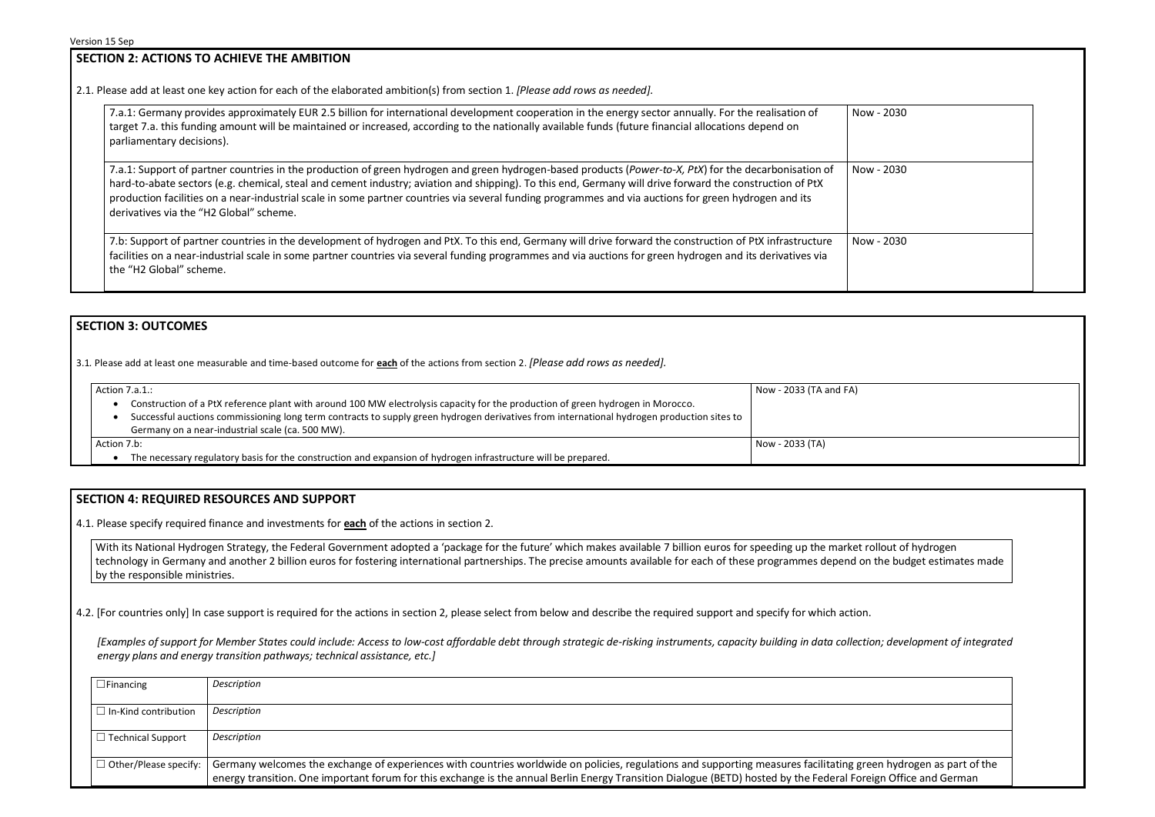# **SECTION 2: ACTIONS TO ACHIEVE THE AMBITION**

2.1. Please add at least one key action for each of the elaborated ambition(s) from section 1. *[Please add rows as needed].*

| 7.a.1: Germany provides approximately EUR 2.5 billion for international development cooperation in the energy sector annually. For the realisation of<br>target 7.a. this funding amount will be maintained or increased, according to the nationally available funds (future financial allocations depend on<br>parliamentary decisions).                                                                                                                                                                             | Now        |
|------------------------------------------------------------------------------------------------------------------------------------------------------------------------------------------------------------------------------------------------------------------------------------------------------------------------------------------------------------------------------------------------------------------------------------------------------------------------------------------------------------------------|------------|
| 7.a.1: Support of partner countries in the production of green hydrogen and green hydrogen-based products (Power-to-X, PtX) for the decarbonisation of<br>hard-to-abate sectors (e.g. chemical, steal and cement industry; aviation and shipping). To this end, Germany will drive forward the construction of PtX<br>production facilities on a near-industrial scale in some partner countries via several funding programmes and via auctions for green hydrogen and its<br>derivatives via the "H2 Global" scheme. | <b>Now</b> |
| 7.b: Support of partner countries in the development of hydrogen and PtX. To this end, Germany will drive forward the construction of PtX infrastructure                                                                                                                                                                                                                                                                                                                                                               | <b>Now</b> |

| Now - 2030 |  |
|------------|--|
| Now - 2030 |  |
|            |  |
| Now - 2030 |  |
|            |  |



facilities on a near-industrial scale in some partner countries via several funding programmes and via auctions for green hydrogen and its derivatives via the "H2 Global" scheme.

# **SECTION 3: OUTCOMES**

3.1*.* Please add at least one measurable and time-based outcome for **each** of the actions from section 2. *[Please add rows as needed].*

Action  $7a1$ .

| Action 7.a.1.: | Now - 2033 (TA and FA)                                                                                                                     |                 |
|----------------|--------------------------------------------------------------------------------------------------------------------------------------------|-----------------|
|                | Construction of a PtX reference plant with around 100 MW electrolysis capacity for the production of green hydrogen in Morocco.            |                 |
|                | Successful auctions commissioning long term contracts to supply green hydrogen derivatives from international hydrogen production sites to |                 |
|                | Germany on a near-industrial scale (ca. 500 MW).                                                                                           |                 |
| Action 7.b:    |                                                                                                                                            | Now - 2033 (TA) |
|                | The necessary regulatory basis for the construction and expansion of hydrogen infrastructure will be prepared.                             |                 |

#### **SECTION 4: REQUIRED RESOURCES AND SUPPORT**

4.1. Please specify required finance and investments for **each** of the actions in section 2.

With its National Hydrogen Strategy, the Federal Government adopted a 'package for the future' which makes available 7 billion euros for speeding up the market rollout of hydrogen technology in Germany and another 2 billion euros for fostering international partnerships. The precise amounts available for each of these programmes depend on the budget estimates made by the responsible ministries.

4.2. [For countries only] In case support is required for the actions in section 2, please select from below and describe the required support and specify for which action.

*[Examples of support for Member States could include: Access to low-cost affordable debt through strategic de-risking instruments, capacity building in data collection; development of integrated energy plans and energy transition pathways; technical assistance, etc.]*

| $\Box$ Financing                    | Description                                                                                                                                                                                                                                                                             |
|-------------------------------------|-----------------------------------------------------------------------------------------------------------------------------------------------------------------------------------------------------------------------------------------------------------------------------------------|
| $\Box$ In-Kind contribution         | Description                                                                                                                                                                                                                                                                             |
| $\Box$ Technical Support            | Description                                                                                                                                                                                                                                                                             |
| $\Box$ Other/Please specify: $\Box$ | Germany welcomes the exchange of experiences with countries worldwide on policies, regulations and supporting measures facilitating gree<br>energy transition. One important forum for this exchange is the annual Berlin Energy Transition Dialogue (BETD) hosted by the Federal Forei |

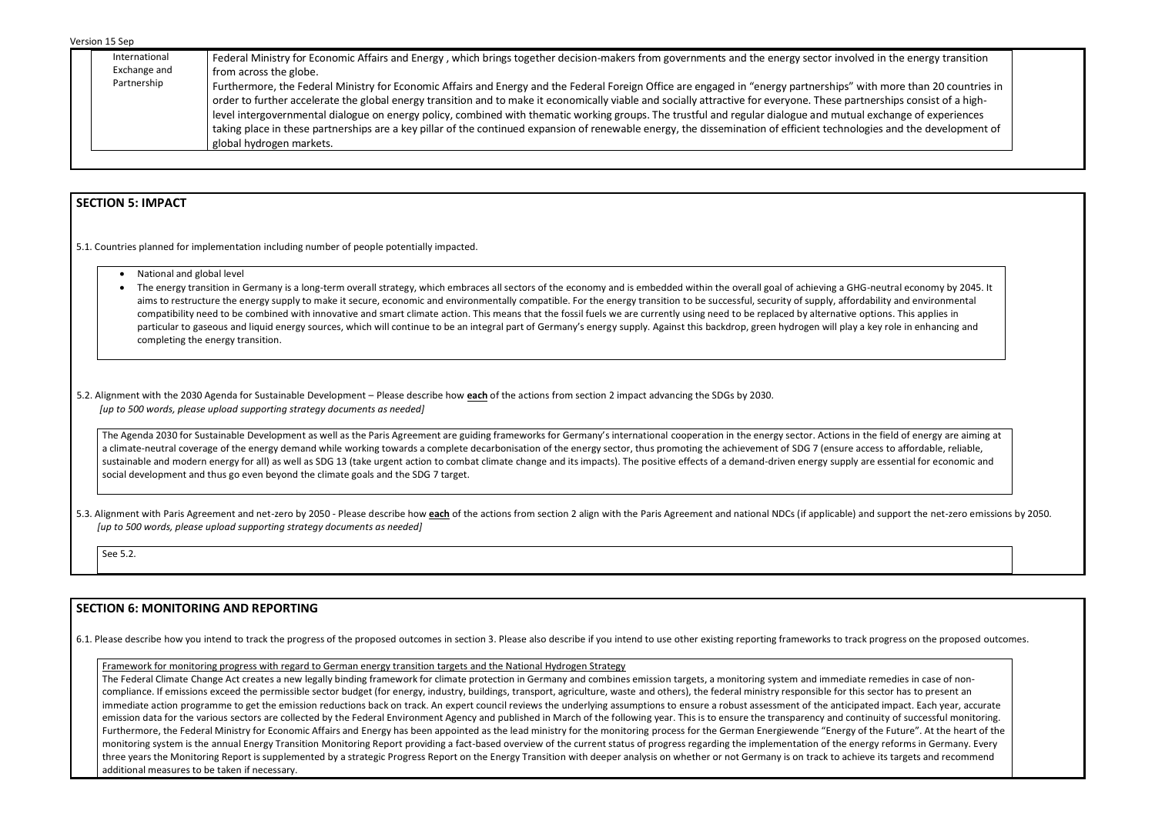| International | Federal Ministry for Economic Affairs and Energy, which brings together decision-makers from governments and the energy sector involved in the energy transition                                                                                                                                                                                                                                                                                                                                                                                                                                                                                                                                                        |
|---------------|-------------------------------------------------------------------------------------------------------------------------------------------------------------------------------------------------------------------------------------------------------------------------------------------------------------------------------------------------------------------------------------------------------------------------------------------------------------------------------------------------------------------------------------------------------------------------------------------------------------------------------------------------------------------------------------------------------------------------|
| Exchange and  | from across the globe.                                                                                                                                                                                                                                                                                                                                                                                                                                                                                                                                                                                                                                                                                                  |
| Partnership   | Furthermore, the Federal Ministry for Economic Affairs and Energy and the Federal Foreign Office are engaged in "energy partnerships" with more than 20 countries in<br>order to further accelerate the global energy transition and to make it economically viable and socially attractive for everyone. These partnerships consist of a high-<br>level intergovernmental dialogue on energy policy, combined with thematic working groups. The trustful and regular dialogue and mutual exchange of experiences<br>taking place in these partnerships are a key pillar of the continued expansion of renewable energy, the dissemination of efficient technologies and the development of<br>global hydrogen markets. |
|               |                                                                                                                                                                                                                                                                                                                                                                                                                                                                                                                                                                                                                                                                                                                         |

### **SECTION 5: IMPACT**

5.1. Countries planned for implementation including number of people potentially impacted.

- National and global level
- The energy transition in Germany is a long-term overall strategy, which embraces all sectors of the economy and is embedded within the overall goal of achieving a GHG-neutral economy by 2045. It aims to restructure the energy supply to make it secure, economic and environmentally compatible. For the energy transition to be successful, security of supply, affordability and environmental compatibility need to be combined with innovative and smart climate action. This means that the fossil fuels we are currently using need to be replaced by alternative options. This applies in particular to gaseous and liquid energy sources, which will continue to be an integral part of Germany's energy supply. Against this backdrop, green hydrogen will play a key role in enhancing and completing the energy transition.

5.3. Alignment with Paris Agreement and net-zero by 2050 - Please describe how each of the actions from section 2 align with the Paris Agreement and national NDCs (if applicable) and support the net-zero emissions by 2050. *[up to 500 words, please upload supporting strategy documents as needed]* 

5.2. Alignment with the 2030 Agenda for Sustainable Development – Please describe how **each** of the actions from section 2 impact advancing the SDGs by 2030. *[up to 500 words, please upload supporting strategy documents as needed]* 

The Agenda 2030 for Sustainable Development as well as the Paris Agreement are guiding frameworks for Germany's international cooperation in the energy sector. Actions in the field of energy are aiming at a climate-neutral coverage of the energy demand while working towards a complete decarbonisation of the energy sector, thus promoting the achievement of SDG 7 (ensure access to affordable, reliable, sustainable and modern energy for all) as well as SDG 13 (take urgent action to combat climate change and its impacts). The positive effects of a demand-driven energy supply are essential for economic and social development and thus go even beyond the climate goals and the SDG 7 target.

See 5.2.

## **SECTION 6: MONITORING AND REPORTING**

6.1. Please describe how you intend to track the progress of the proposed outcomes in section 3. Please also describe if you intend to use other existing reporting frameworks to track progress on the proposed outcomes.

Framework for monitoring progress with regard to German energy transition targets and the National Hydrogen Strategy

The Federal Climate Change Act creates a new legally binding framework for climate protection in Germany and combines emission targets, a monitoring system and immediate remedies in case of noncompliance. If emissions exceed the permissible sector budget (for energy, industry, buildings, transport, agriculture, waste and others), the federal ministry responsible for this sector has to present an immediate action programme to get the emission reductions back on track. An expert council reviews the underlying assumptions to ensure a robust assessment of the anticipated impact. Each year, accurate emission data for the various sectors are collected by the Federal Environment Agency and published in March of the following year. This is to ensure the transparency and continuity of successful monitoring. Furthermore, the Federal Ministry for Economic Affairs and Energy has been appointed as the lead ministry for the monitoring process for the German Energiewende "Energy of the Future". At the heart of the monitoring system is the annual Energy Transition Monitoring Report providing a fact-based overview of the current status of progress regarding the implementation of the energy reforms in Germany. Every three years the Monitoring Report is supplemented by a strategic Progress Report on the Energy Transition with deeper analysis on whether or not Germany is on track to achieve its targets and recommend additional measures to be taken if necessary.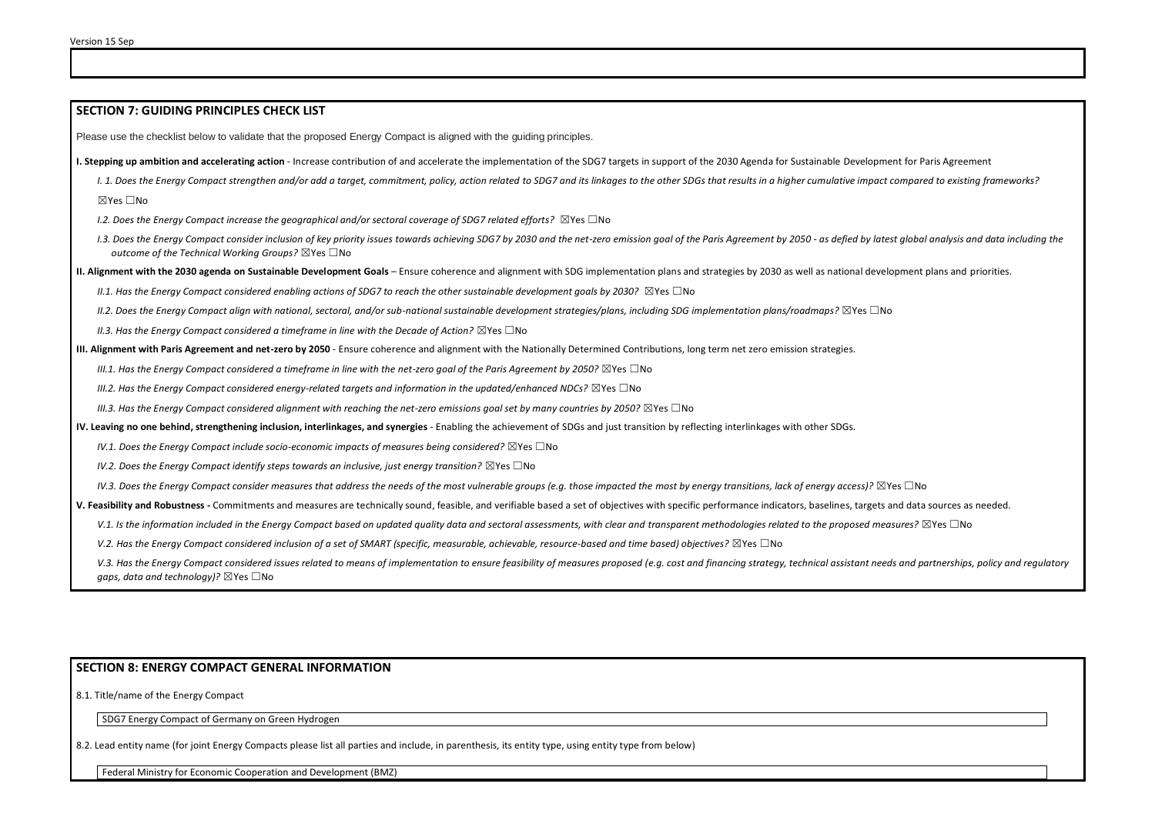#### **SECTION 7: GUIDING PRINCIPLES CHECK LIST**

Please use the checklist below to validate that the proposed Energy Compact is aligned with the guiding principles.

**I. Stepping up ambition and accelerating action** - Increase contribution of and accelerate the implementation of the SDG7 targets in support of the 2030 Agenda for Sustainable Development for Paris Agreement

- I. 1. Does the Energy Compact strengthen and/or add a target, commitment, policy, action related to SDG7 and its linkages to the other SDGs that results in a higher cumulative impact compared to existing frameworks? ☒Yes ☐No
- *I.2. Does the Energy Compact increase the geographical and/or sectoral coverage of SDG7 related efforts?* ☒Yes ☐No
- I.3. Does the Energy Compact consider inclusion of key priority issues towards achieving SDG7 by 2030 and the net-zero emission goal of the Paris Agreement by 2050 as defied by latest global analysis and data including t *outcome of the Technical Working Groups?* ☒Yes ☐No

**II. Alignment with the 2030 agenda on Sustainable Development Goals** – Ensure coherence and alignment with SDG implementation plans and strategies by 2030 as well as national development plans and priorities.

*II.1. Has the Energy Compact considered enabling actions of SDG7 to reach the other sustainable development goals by 2030?* ⊠Yes □No

*II.2. Does the Energy Compact align with national, sectoral, and/or sub-national sustainable development strategies/plans, including SDG implementation plans/roadmaps?* ☒Yes ☐No

*II.3. Has the Energy Compact considered a timeframe in line with the Decade of Action?* ⊠Yes □No

**III. Alignment with Paris Agreement and net-zero by 2050** - Ensure coherence and alignment with the Nationally Determined Contributions, long term net zero emission strategies.

*III.1. Has the Energy Compact considered a timeframe in line with the net-zero goal of the Paris Agreement by 2050?* ⊠Yes □No

*III.2. Has the Energy Compact considered energy-related targets and information in the updated/enhanced NDCs?* ⊠Yes □No

*III.3. Has the Energy Compact considered alignment with reaching the net-zero emissions goal set by many countries by 2050?* ⊠Yes □No

**IV. Leaving no one behind, strengthening inclusion, interlinkages, and synergies** - Enabling the achievement of SDGs and just transition by reflecting interlinkages with other SDGs.

*IV.1. Does the Energy Compact include socio-economic impacts of measures being considered?* ⊠Yes □No

*IV.2. Does the Energy Compact identify steps towards an inclusive, just energy transition?* ⊠Yes □No

*IV.3. Does the Energy Compact consider measures that address the needs of the most vulnerable groups (e.g. those impacted the most by energy transitions, lack of energy access)?* ⊠Yes □No

**V. Feasibility and Robustness -** Commitments and measures are technically sound, feasible, and verifiable based a set of objectives with specific performance indicators, baselines, targets and data sources as needed.

V.1. Is the information included in the Energy Compact based on updated quality data and sectoral assessments, with clear and transparent methodologies related to the proposed measures? ⊠Yes □No

*V.2. Has the Energy Compact considered inclusion of a set of SMART (specific, measurable, achievable, resource-based and time based) objectives?* ⊠Yes □No

V.3. Has the Energy Compact considered issues related to means of implementation to ensure feasibility of measures proposed (e.g. cost and financing strategy, technical assistant needs and partnerships, policy and regulato *gaps, data and technology)?* ⊠Yes □No

#### **SECTION 8: ENERGY COMPACT GENERAL INFORMATION**

8.1. Title/name of the Energy Compact

SDG7 Energy Compact of Germany on Green Hydrogen

8.2. Lead entity name (for joint Energy Compacts please list all parties and include, in parenthesis, its entity type, using entity type from below)

Federal Ministry for Economic Cooperation and Development (BMZ)